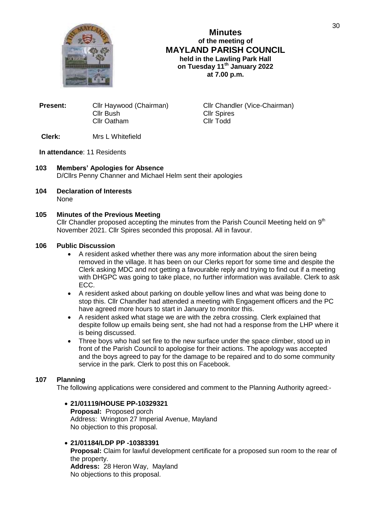

**Minutes of the meeting of MAYLAND PARISH COUNCIL held in the Lawling Park Hall on Tuesday 11th January 2022 at 7.00 p.m.**

| Cllr Haywood (Chairman) |
|-------------------------|
| Cllr Bush               |
| Cllr Oatham             |
|                         |

**Cllr Chandler (Vice-Chairman)** Cllr Spires Cllr Todd

# **Clerk:** Mrs L Whitefield

### **In attendance**: 11 Residents

- **103 Members' Apologies for Absence** D/Cllrs Penny Channer and Michael Helm sent their apologies
- **104 Declaration of Interests** None

### **105 Minutes of the Previous Meeting**

Cllr Chandler proposed accepting the minutes from the Parish Council Meeting held on  $9<sup>th</sup>$ November 2021. Cllr Spires seconded this proposal. All in favour.

## **106 Public Discussion**

- A resident asked whether there was any more information about the siren being removed in the village. It has been on our Clerks report for some time and despite the Clerk asking MDC and not getting a favourable reply and trying to find out if a meeting with DHGPC was going to take place, no further information was available. Clerk to ask ECC.
- A resident asked about parking on double yellow lines and what was being done to stop this. Cllr Chandler had attended a meeting with Engagement officers and the PC have agreed more hours to start in January to monitor this.
- A resident asked what stage we are with the zebra crossing. Clerk explained that despite follow up emails being sent, she had not had a response from the LHP where it is being discussed.
- Three boys who had set fire to the new surface under the space climber, stood up in front of the Parish Council to apologise for their actions. The apology was accepted and the boys agreed to pay for the damage to be repaired and to do some community service in the park. Clerk to post this on Facebook.

### **107 Planning**

The following applications were considered and comment to the Planning Authority agreed:-

## **21/01119/HOUSE PP-10329321**

**Proposal:** Proposed porch Address: Wrington 27 Imperial Avenue, Mayland No objection to this proposal.

#### **21/01184/LDP PP -10383391**

**Proposal:** Claim for lawful development certificate for a proposed sun room to the rear of the property. **Address:** 28 Heron Way, Mayland

No objections to this proposal.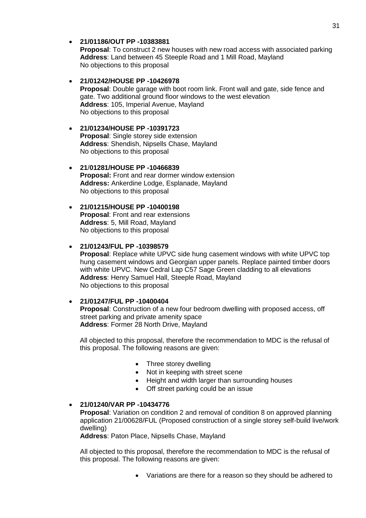**21/01186/OUT PP -10383881 Proposal**: To construct 2 new houses with new road access with associated parking **Address**: Land between 45 Steeple Road and 1 Mill Road, Mayland No objections to this proposal

### **21/01242/HOUSE PP -10426978**

**Proposal**: Double garage with boot room link. Front wall and gate, side fence and gate. Two additional ground floor windows to the west elevation **Address**: 105, Imperial Avenue, Mayland No objections to this proposal

### **21/01234/HOUSE PP -10391723**

**Proposal**: Single storey side extension **Address**: Shendish, Nipsells Chase, Mayland No objections to this proposal

### **21**/**01281/HOUSE PP -10466839**

**Proposal:** Front and rear dormer window extension **Address:** Ankerdine Lodge, Esplanade, Mayland No objections to this proposal

#### **21/01215/HOUSE PP -10400198 Proposal**: Front and rear extensions **Address**: 5, Mill Road, Mayland No objections to this proposal

### **21/01243/FUL PP -10398579**

**Proposal**: Replace white UPVC side hung casement windows with white UPVC top hung casement windows and Georgian upper panels. Replace painted timber doors with white UPVC. New Cedral Lap C57 Sage Green cladding to all elevations **Address**: Henry Samuel Hall, Steeple Road, Mayland No objections to this proposal

### **21/01247/FUL PP -10400404**

**Proposal**: Construction of a new four bedroom dwelling with proposed access, off street parking and private amenity space **Address**: Former 28 North Drive, Mayland

 All objected to this proposal, therefore the recommendation to MDC is the refusal of this proposal. The following reasons are given:

- Three storey dwelling
- Not in keeping with street scene
- Height and width larger than surrounding houses
- Off street parking could be an issue

#### **21/01240/VAR PP -10434776**

**Proposal:** Variation on condition 2 and removal of condition 8 on approved planning application 21/00628/FUL (Proposed construction of a single storey self-build live/work dwelling)

**Address**: Paton Place, Nipsells Chase, Mayland

All objected to this proposal, therefore the recommendation to MDC is the refusal of this proposal. The following reasons are given:

Variations are there for a reason so they should be adhered to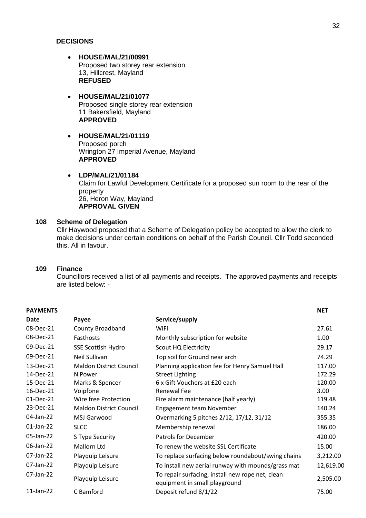### **DECISIONS**

- **HOUSE**/**MAL/21/00991** Proposed two storey rear extension 13, Hillcrest, Mayland **REFUSED**
- **HOUSE/MAL/21/01077** Proposed single storey rear extension 11 Bakersfield, Mayland **APPROVED**
- **HOUSE**/**MAL**/**21**/**01119** Proposed porch Wrington 27 Imperial Avenue, Mayland **APPROVED**

## **LDP/MAL/21/01184**

Claim for Lawful Development Certificate for a proposed sun room to the rear of the property 26, Heron Way, Mayland **APPROVAL GIVEN**

## **108 Scheme of Delegation**

Cllr Haywood proposed that a Scheme of Delegation policy be accepted to allow the clerk to make decisions under certain conditions on behalf of the Parish Council. Cllr Todd seconded this. All in favour.

#### **109 Finance**

Councillors received a list of all payments and receipts. The approved payments and receipts are listed below: -

| <b>PAYMENTS</b> |                                |                                                                                   | <b>NET</b> |
|-----------------|--------------------------------|-----------------------------------------------------------------------------------|------------|
| Date            | Payee                          | Service/supply                                                                    |            |
| 08-Dec-21       | <b>County Broadband</b>        | WiFi                                                                              | 27.61      |
| 08-Dec-21       | Fasthosts                      | Monthly subscription for website                                                  | 1.00       |
| 09-Dec-21       | <b>SSE Scottish Hydro</b>      | Scout HQ Electricity                                                              | 29.17      |
| 09-Dec-21       | Neil Sullivan                  | Top soil for Ground near arch                                                     | 74.29      |
| 13-Dec-21       | <b>Maldon District Council</b> | Planning application fee for Henry Samuel Hall                                    | 117.00     |
| 14-Dec-21       | N Power                        | <b>Street Lighting</b>                                                            | 172.29     |
| 15-Dec-21       | Marks & Spencer                | 6 x Gift Vouchers at £20 each                                                     | 120.00     |
| 16-Dec-21       | Voipfone                       | <b>Renewal Fee</b>                                                                | 3.00       |
| 01-Dec-21       | Wire free Protection           | Fire alarm maintenance (half yearly)                                              | 119.48     |
| 23-Dec-21       | <b>Maldon District Council</b> | Engagement team November                                                          | 140.24     |
| 04-Jan-22       | MSJ Garwood                    | Overmarking 5 pitches 2/12, 17/12, 31/12                                          | 355.35     |
| 01-Jan-22       | <b>SLCC</b>                    | Membership renewal                                                                | 186.00     |
| 05-Jan-22       | S Type Security                | Patrols for December                                                              | 420.00     |
| 06-Jan-22       | Mallorn Ltd                    | To renew the website SSL Certificate                                              | 15.00      |
| 07-Jan-22       | Playquip Leisure               | To replace surfacing below roundabout/swing chains                                | 3,212.00   |
| 07-Jan-22       | Playquip Leisure               | To install new aerial runway with mounds/grass mat                                | 12,619.00  |
| 07-Jan-22       | Playquip Leisure               | To repair surfacing, install new rope net, clean<br>equipment in small playground | 2,505.00   |
| $11$ -Jan-22    | C Bamford                      | Deposit refund 8/1/22                                                             | 75.00      |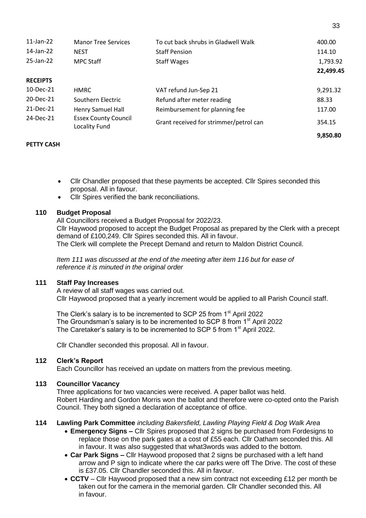| $11$ -Jan-22    | <b>Manor Tree Services</b>                   | To cut back shrubs in Gladwell Walk    | 400.00    |
|-----------------|----------------------------------------------|----------------------------------------|-----------|
| 14-Jan-22       | <b>NEST</b>                                  | <b>Staff Pension</b>                   | 114.10    |
| 25-Jan-22       | <b>MPC Staff</b>                             | <b>Staff Wages</b>                     | 1,793.92  |
|                 |                                              |                                        | 22,499.45 |
| <b>RECEIPTS</b> |                                              |                                        |           |
| 10-Dec-21       | <b>HMRC</b>                                  | VAT refund Jun-Sep 21                  | 9,291.32  |
| 20-Dec-21       | Southern Electric                            | Refund after meter reading             | 88.33     |
| 21-Dec-21       | <b>Henry Samuel Hall</b>                     | Reimbursement for planning fee         | 117.00    |
| 24-Dec-21       | <b>Essex County Council</b><br>Locality Fund | Grant received for strimmer/petrol can | 354.15    |
|                 |                                              |                                        | 9.850.80  |

33

## **PETTY CASH**

- Cllr Chandler proposed that these payments be accepted. Cllr Spires seconded this proposal. All in favour.
- Cllr Spires verified the bank reconciliations.

### **110 Budget Proposal**

All Councillors received a Budget Proposal for 2022/23. Cllr Haywood proposed to accept the Budget Proposal as prepared by the Clerk with a precept demand of £100,249. Cllr Spires seconded this. All in favour. The Clerk will complete the Precept Demand and return to Maldon District Council.

*Item 111 was discussed at the end of the meeting after item 116 but for ease of reference it is minuted in the original order*

## **111 Staff Pay Increases**

A review of all staff wages was carried out. Cllr Haywood proposed that a yearly increment would be applied to all Parish Council staff.

The Clerk's salary is to be incremented to SCP 25 from 1<sup>st</sup> April 2022 The Groundsman's salary is to be incremented to SCP 8 from 1<sup>st</sup> April 2022 The Caretaker's salary is to be incremented to SCP 5 from 1<sup>st</sup> April 2022.

Cllr Chandler seconded this proposal. All in favour.

# **112 Clerk's Report**

Each Councillor has received an update on matters from the previous meeting.

## **113 Councillor Vacancy**

Three applications for two vacancies were received. A paper ballot was held. Robert Harding and Gordon Morris won the ballot and therefore were co-opted onto the Parish Council. They both signed a declaration of acceptance of office.

### **114 Lawling Park Committee** *including Bakersfield, Lawling Playing Field & Dog Walk Area*

- **Emergency Signs –** Cllr Spires proposed that 2 signs be purchased from Fordesigns to replace those on the park gates at a cost of £55 each. Cllr Oatham seconded this. All in favour. It was also suggested that what3words was added to the bottom.
- **Car Park Signs –** Cllr Haywood proposed that 2 signs be purchased with a left hand arrow and P sign to indicate where the car parks were off The Drive. The cost of these is £37.05. Cllr Chandler seconded this. All in favour.
- **CCTV** Cllr Haywood proposed that a new sim contract not exceeding £12 per month be taken out for the camera in the memorial garden. Cllr Chandler seconded this. All in favour.